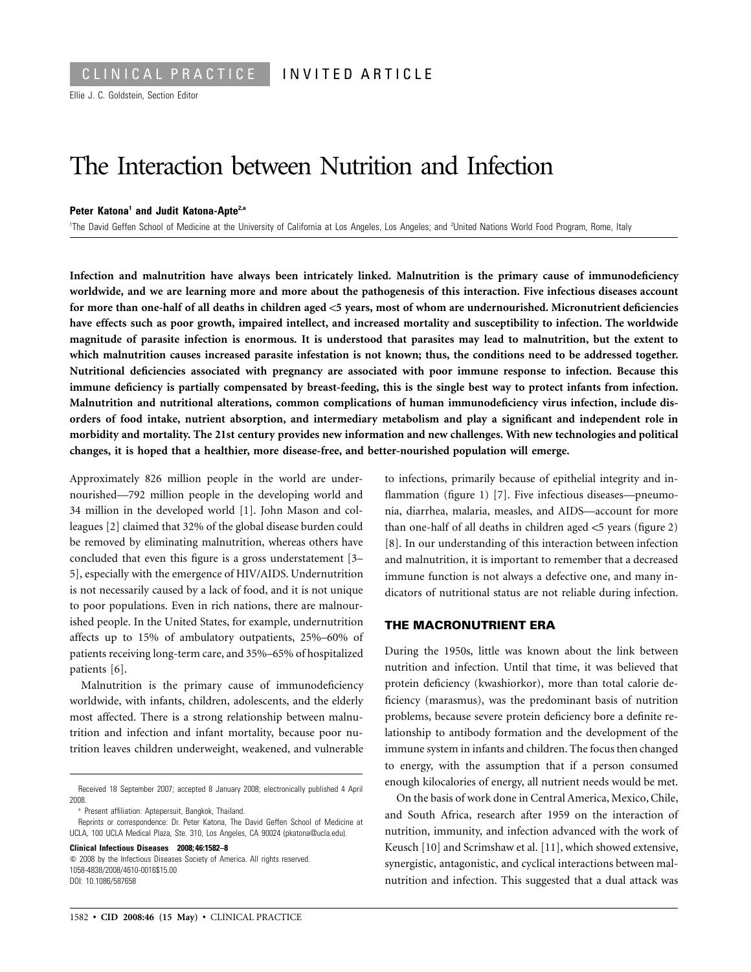# The Interaction between Nutrition and Infection

#### **Peter Katona1 and Judit Katona-Apte2,a**

<sup>1</sup>The David Geffen School of Medicine at the University of California at Los Angeles, Los Angeles; and <sup>2</sup>United Nations World Food Program, Rome, Italy

**Infection and malnutrition have always been intricately linked. Malnutrition is the primary cause of immunodeficiency worldwide, and we are learning more and more about the pathogenesis of this interaction. Five infectious diseases account for more than one-half of all deaths in children aged** !**5 years, most of whom are undernourished. Micronutrient deficiencies have effects such as poor growth, impaired intellect, and increased mortality and susceptibility to infection. The worldwide magnitude of parasite infection is enormous. It is understood that parasites may lead to malnutrition, but the extent to which malnutrition causes increased parasite infestation is not known; thus, the conditions need to be addressed together. Nutritional deficiencies associated with pregnancy are associated with poor immune response to infection. Because this immune deficiency is partially compensated by breast-feeding, this is the single best way to protect infants from infection. Malnutrition and nutritional alterations, common complications of human immunodeficiency virus infection, include disorders of food intake, nutrient absorption, and intermediary metabolism and play a significant and independent role in morbidity and mortality. The 21st century provides new information and new challenges. With new technologies and political changes, it is hoped that a healthier, more disease-free, and better-nourished population will emerge.**

Approximately 826 million people in the world are undernourished—792 million people in the developing world and 34 million in the developed world [1]. John Mason and colleagues [2] claimed that 32% of the global disease burden could be removed by eliminating malnutrition, whereas others have concluded that even this figure is a gross understatement [3– 5], especially with the emergence of HIV/AIDS. Undernutrition is not necessarily caused by a lack of food, and it is not unique to poor populations. Even in rich nations, there are malnourished people. In the United States, for example, undernutrition affects up to 15% of ambulatory outpatients, 25%–60% of patients receiving long-term care, and 35%–65% of hospitalized patients [6].

Malnutrition is the primary cause of immunodeficiency worldwide, with infants, children, adolescents, and the elderly most affected. There is a strong relationship between malnutrition and infection and infant mortality, because poor nutrition leaves children underweight, weakened, and vulnerable

<sup>a</sup> Present affiliation: Aptepersuit, Bangkok, Thailand.

**Clinical Infectious Diseases 2008; 46:1582–8**  $\degree$  2008 by the Infectious Diseases Society of America. All rights reserved. 1058-4838/2008/4610-0016\$15.00 DOI: 10.1086/587658

to infections, primarily because of epithelial integrity and inflammation (figure 1) [7]. Five infectious diseases—pneumonia, diarrhea, malaria, measles, and AIDS—account for more than one-half of all deaths in children aged  $<$ 5 years (figure 2) [8]. In our understanding of this interaction between infection and malnutrition, it is important to remember that a decreased immune function is not always a defective one, and many indicators of nutritional status are not reliable during infection.

#### **THE MACRONUTRIENT ERA**

During the 1950s, little was known about the link between nutrition and infection. Until that time, it was believed that protein deficiency (kwashiorkor), more than total calorie deficiency (marasmus), was the predominant basis of nutrition problems, because severe protein deficiency bore a definite relationship to antibody formation and the development of the immune system in infants and children. The focus then changed to energy, with the assumption that if a person consumed enough kilocalories of energy, all nutrient needs would be met.

On the basis of work done in Central America, Mexico, Chile, and South Africa, research after 1959 on the interaction of nutrition, immunity, and infection advanced with the work of Keusch [10] and Scrimshaw et al. [11], which showed extensive, synergistic, antagonistic, and cyclical interactions between malnutrition and infection. This suggested that a dual attack was

Received 18 September 2007; accepted 8 January 2008; electronically published 4 April 2008.

Reprints or correspondence: Dr. Peter Katona, The David Geffen School of Medicine at UCLA, 100 UCLA Medical Plaza, Ste. 310, Los Angeles, CA 90024 (pkatona@ucla.edu).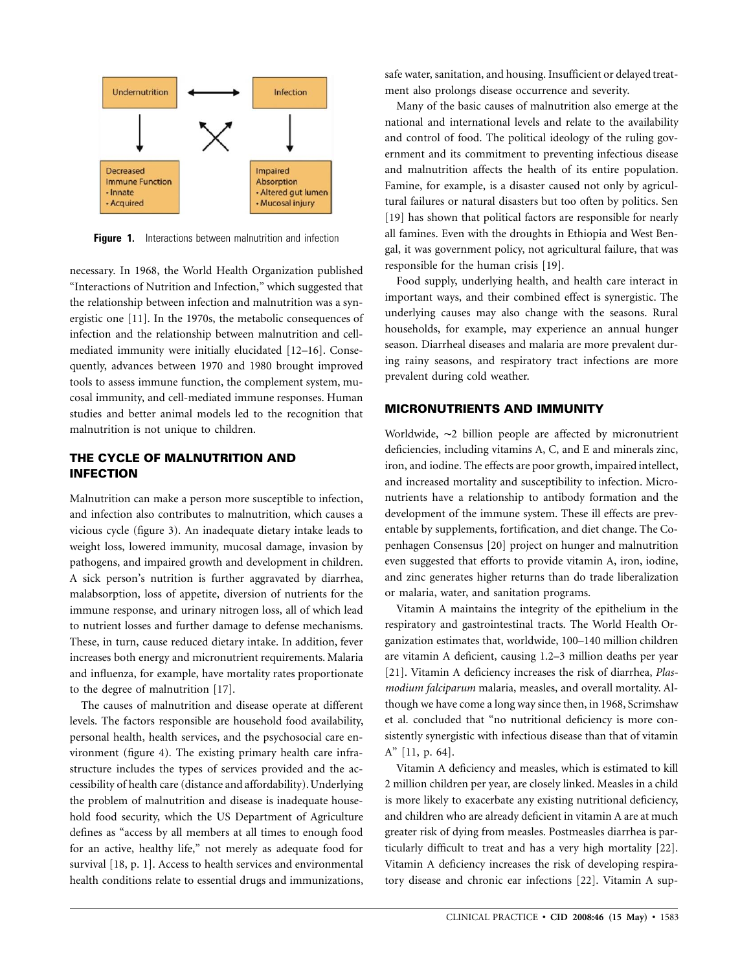

**Figure 1.** Interactions between malnutrition and infection

necessary. In 1968, the World Health Organization published "Interactions of Nutrition and Infection," which suggested that the relationship between infection and malnutrition was a synergistic one [11]. In the 1970s, the metabolic consequences of infection and the relationship between malnutrition and cellmediated immunity were initially elucidated [12–16]. Consequently, advances between 1970 and 1980 brought improved tools to assess immune function, the complement system, mucosal immunity, and cell-mediated immune responses. Human studies and better animal models led to the recognition that malnutrition is not unique to children.

## **THE CYCLE OF MALNUTRITION AND INFECTION**

Malnutrition can make a person more susceptible to infection, and infection also contributes to malnutrition, which causes a vicious cycle (figure 3). An inadequate dietary intake leads to weight loss, lowered immunity, mucosal damage, invasion by pathogens, and impaired growth and development in children. A sick person's nutrition is further aggravated by diarrhea, malabsorption, loss of appetite, diversion of nutrients for the immune response, and urinary nitrogen loss, all of which lead to nutrient losses and further damage to defense mechanisms. These, in turn, cause reduced dietary intake. In addition, fever increases both energy and micronutrient requirements. Malaria and influenza, for example, have mortality rates proportionate to the degree of malnutrition [17].

The causes of malnutrition and disease operate at different levels. The factors responsible are household food availability, personal health, health services, and the psychosocial care environment (figure 4). The existing primary health care infrastructure includes the types of services provided and the accessibility of health care (distance and affordability). Underlying the problem of malnutrition and disease is inadequate household food security, which the US Department of Agriculture defines as "access by all members at all times to enough food for an active, healthy life," not merely as adequate food for survival [18, p. 1]. Access to health services and environmental health conditions relate to essential drugs and immunizations, safe water, sanitation, and housing. Insufficient or delayed treatment also prolongs disease occurrence and severity.

Many of the basic causes of malnutrition also emerge at the national and international levels and relate to the availability and control of food. The political ideology of the ruling government and its commitment to preventing infectious disease and malnutrition affects the health of its entire population. Famine, for example, is a disaster caused not only by agricultural failures or natural disasters but too often by politics. Sen [19] has shown that political factors are responsible for nearly all famines. Even with the droughts in Ethiopia and West Bengal, it was government policy, not agricultural failure, that was responsible for the human crisis [19].

Food supply, underlying health, and health care interact in important ways, and their combined effect is synergistic. The underlying causes may also change with the seasons. Rural households, for example, may experience an annual hunger season. Diarrheal diseases and malaria are more prevalent during rainy seasons, and respiratory tract infections are more prevalent during cold weather.

## **MICRONUTRIENTS AND IMMUNITY**

Worldwide, ∼2 billion people are affected by micronutrient deficiencies, including vitamins A, C, and E and minerals zinc, iron, and iodine. The effects are poor growth, impaired intellect, and increased mortality and susceptibility to infection. Micronutrients have a relationship to antibody formation and the development of the immune system. These ill effects are preventable by supplements, fortification, and diet change. The Copenhagen Consensus [20] project on hunger and malnutrition even suggested that efforts to provide vitamin A, iron, iodine, and zinc generates higher returns than do trade liberalization or malaria, water, and sanitation programs.

Vitamin A maintains the integrity of the epithelium in the respiratory and gastrointestinal tracts. The World Health Organization estimates that, worldwide, 100–140 million children are vitamin A deficient, causing 1.2–3 million deaths per year [21]. Vitamin A deficiency increases the risk of diarrhea, *Plasmodium falciparum* malaria, measles, and overall mortality. Although we have come a long way since then, in 1968, Scrimshaw et al. concluded that "no nutritional deficiency is more consistently synergistic with infectious disease than that of vitamin A" [11, p. 64].

Vitamin A deficiency and measles, which is estimated to kill 2 million children per year, are closely linked. Measles in a child is more likely to exacerbate any existing nutritional deficiency, and children who are already deficient in vitamin A are at much greater risk of dying from measles. Postmeasles diarrhea is particularly difficult to treat and has a very high mortality [22]. Vitamin A deficiency increases the risk of developing respiratory disease and chronic ear infections [22]. Vitamin A sup-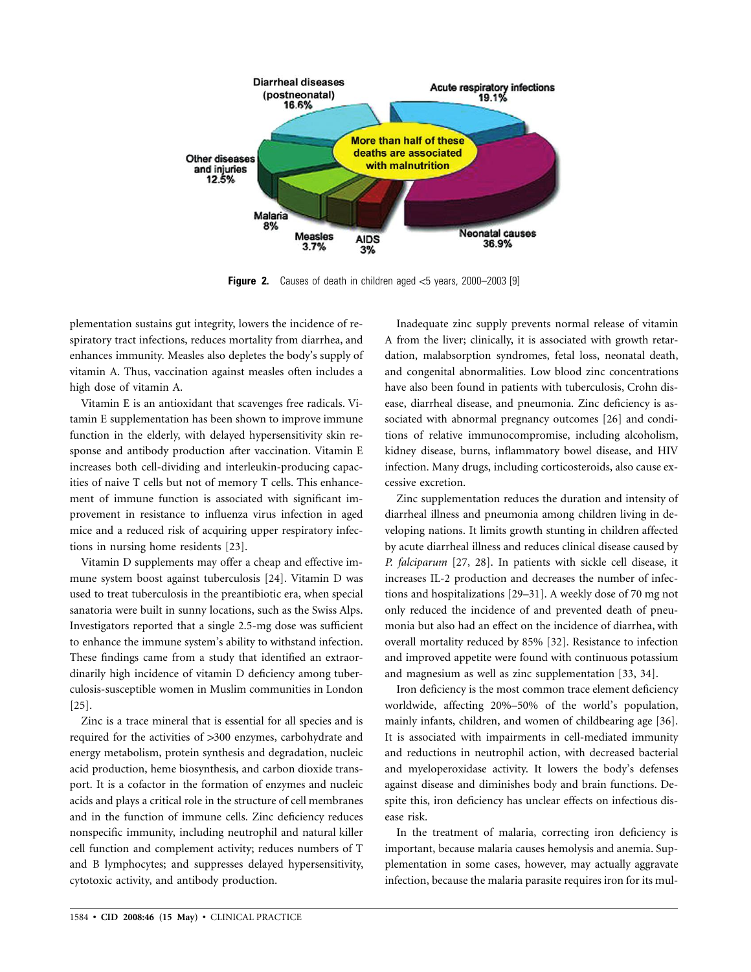

**Figure 2.** Causes of death in children aged  $\leq$ 5 years, 2000–2003 [9]

plementation sustains gut integrity, lowers the incidence of respiratory tract infections, reduces mortality from diarrhea, and enhances immunity. Measles also depletes the body's supply of vitamin A. Thus, vaccination against measles often includes a high dose of vitamin A.

Vitamin E is an antioxidant that scavenges free radicals. Vitamin E supplementation has been shown to improve immune function in the elderly, with delayed hypersensitivity skin response and antibody production after vaccination. Vitamin E increases both cell-dividing and interleukin-producing capacities of naive T cells but not of memory T cells. This enhancement of immune function is associated with significant improvement in resistance to influenza virus infection in aged mice and a reduced risk of acquiring upper respiratory infections in nursing home residents [23].

Vitamin D supplements may offer a cheap and effective immune system boost against tuberculosis [24]. Vitamin D was used to treat tuberculosis in the preantibiotic era, when special sanatoria were built in sunny locations, such as the Swiss Alps. Investigators reported that a single 2.5-mg dose was sufficient to enhance the immune system's ability to withstand infection. These findings came from a study that identified an extraordinarily high incidence of vitamin D deficiency among tuberculosis-susceptible women in Muslim communities in London [25].

Zinc is a trace mineral that is essential for all species and is required for the activities of >300 enzymes, carbohydrate and energy metabolism, protein synthesis and degradation, nucleic acid production, heme biosynthesis, and carbon dioxide transport. It is a cofactor in the formation of enzymes and nucleic acids and plays a critical role in the structure of cell membranes and in the function of immune cells. Zinc deficiency reduces nonspecific immunity, including neutrophil and natural killer cell function and complement activity; reduces numbers of T and B lymphocytes; and suppresses delayed hypersensitivity, cytotoxic activity, and antibody production.

Inadequate zinc supply prevents normal release of vitamin A from the liver; clinically, it is associated with growth retardation, malabsorption syndromes, fetal loss, neonatal death, and congenital abnormalities. Low blood zinc concentrations have also been found in patients with tuberculosis, Crohn disease, diarrheal disease, and pneumonia. Zinc deficiency is associated with abnormal pregnancy outcomes [26] and conditions of relative immunocompromise, including alcoholism, kidney disease, burns, inflammatory bowel disease, and HIV infection. Many drugs, including corticosteroids, also cause excessive excretion.

Zinc supplementation reduces the duration and intensity of diarrheal illness and pneumonia among children living in developing nations. It limits growth stunting in children affected by acute diarrheal illness and reduces clinical disease caused by *P. falciparum* [27, 28]. In patients with sickle cell disease, it increases IL-2 production and decreases the number of infections and hospitalizations [29–31]. A weekly dose of 70 mg not only reduced the incidence of and prevented death of pneumonia but also had an effect on the incidence of diarrhea, with overall mortality reduced by 85% [32]. Resistance to infection and improved appetite were found with continuous potassium and magnesium as well as zinc supplementation [33, 34].

Iron deficiency is the most common trace element deficiency worldwide, affecting 20%–50% of the world's population, mainly infants, children, and women of childbearing age [36]. It is associated with impairments in cell-mediated immunity and reductions in neutrophil action, with decreased bacterial and myeloperoxidase activity. It lowers the body's defenses against disease and diminishes body and brain functions. Despite this, iron deficiency has unclear effects on infectious disease risk.

In the treatment of malaria, correcting iron deficiency is important, because malaria causes hemolysis and anemia. Supplementation in some cases, however, may actually aggravate infection, because the malaria parasite requires iron for its mul-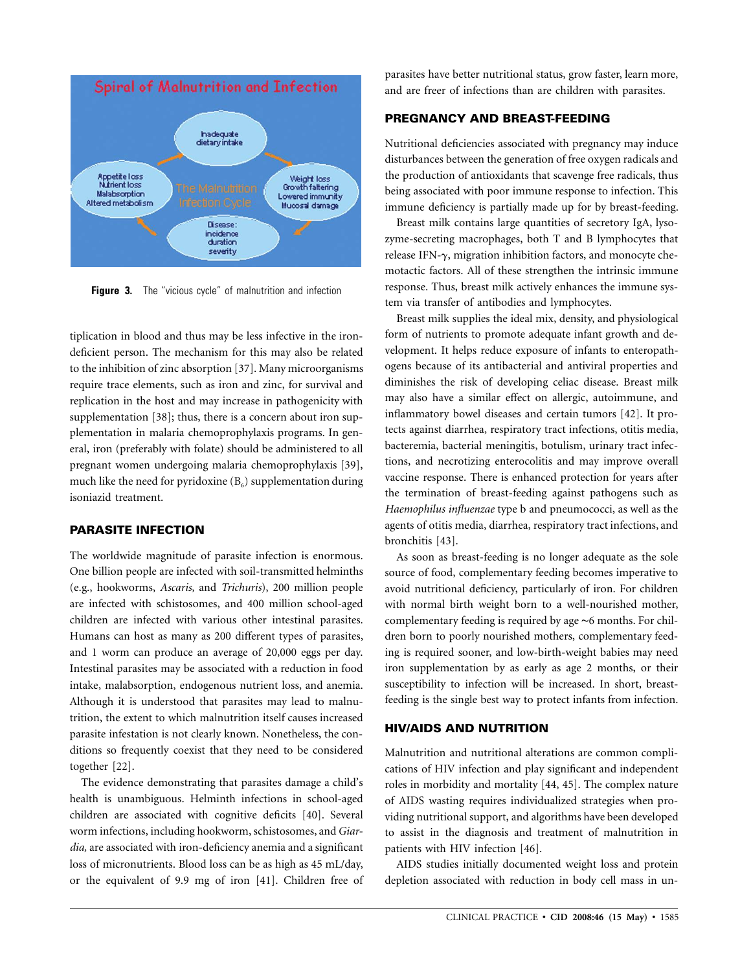

**Figure 3.** The "vicious cycle" of malnutrition and infection

tiplication in blood and thus may be less infective in the irondeficient person. The mechanism for this may also be related to the inhibition of zinc absorption [37]. Many microorganisms require trace elements, such as iron and zinc, for survival and replication in the host and may increase in pathogenicity with supplementation [38]; thus, there is a concern about iron supplementation in malaria chemoprophylaxis programs. In general, iron (preferably with folate) should be administered to all pregnant women undergoing malaria chemoprophylaxis [39], much like the need for pyridoxine  $(B_6)$  supplementation during isoniazid treatment.

#### **PARASITE INFECTION**

The worldwide magnitude of parasite infection is enormous. One billion people are infected with soil-transmitted helminths (e.g., hookworms, *Ascaris,* and *Trichuris*), 200 million people are infected with schistosomes, and 400 million school-aged children are infected with various other intestinal parasites. Humans can host as many as 200 different types of parasites, and 1 worm can produce an average of 20,000 eggs per day. Intestinal parasites may be associated with a reduction in food intake, malabsorption, endogenous nutrient loss, and anemia. Although it is understood that parasites may lead to malnutrition, the extent to which malnutrition itself causes increased parasite infestation is not clearly known. Nonetheless, the conditions so frequently coexist that they need to be considered together [22].

The evidence demonstrating that parasites damage a child's health is unambiguous. Helminth infections in school-aged children are associated with cognitive deficits [40]. Several worm infections, including hookworm, schistosomes, and*Giardia,* are associated with iron-deficiency anemia and a significant loss of micronutrients. Blood loss can be as high as 45 mL/day, or the equivalent of 9.9 mg of iron [41]. Children free of

parasites have better nutritional status, grow faster, learn more, and are freer of infections than are children with parasites.

## **PREGNANCY AND BREAST-FEEDING**

Nutritional deficiencies associated with pregnancy may induce disturbances between the generation of free oxygen radicals and the production of antioxidants that scavenge free radicals, thus being associated with poor immune response to infection. This immune deficiency is partially made up for by breast-feeding.

Breast milk contains large quantities of secretory IgA, lysozyme-secreting macrophages, both T and B lymphocytes that release IFN- $\gamma$ , migration inhibition factors, and monocyte chemotactic factors. All of these strengthen the intrinsic immune response. Thus, breast milk actively enhances the immune system via transfer of antibodies and lymphocytes.

Breast milk supplies the ideal mix, density, and physiological form of nutrients to promote adequate infant growth and development. It helps reduce exposure of infants to enteropathogens because of its antibacterial and antiviral properties and diminishes the risk of developing celiac disease. Breast milk may also have a similar effect on allergic, autoimmune, and inflammatory bowel diseases and certain tumors [42]. It protects against diarrhea, respiratory tract infections, otitis media, bacteremia, bacterial meningitis, botulism, urinary tract infections, and necrotizing enterocolitis and may improve overall vaccine response. There is enhanced protection for years after the termination of breast-feeding against pathogens such as *Haemophilus influenzae* type b and pneumococci, as well as the agents of otitis media, diarrhea, respiratory tract infections, and bronchitis [43].

As soon as breast-feeding is no longer adequate as the sole source of food, complementary feeding becomes imperative to avoid nutritional deficiency, particularly of iron. For children with normal birth weight born to a well-nourished mother, complementary feeding is required by age ∼6 months. For children born to poorly nourished mothers, complementary feeding is required sooner, and low-birth-weight babies may need iron supplementation by as early as age 2 months, or their susceptibility to infection will be increased. In short, breastfeeding is the single best way to protect infants from infection.

## **HIV/AIDS AND NUTRITION**

Malnutrition and nutritional alterations are common complications of HIV infection and play significant and independent roles in morbidity and mortality [44, 45]. The complex nature of AIDS wasting requires individualized strategies when providing nutritional support, and algorithms have been developed to assist in the diagnosis and treatment of malnutrition in patients with HIV infection [46].

AIDS studies initially documented weight loss and protein depletion associated with reduction in body cell mass in un-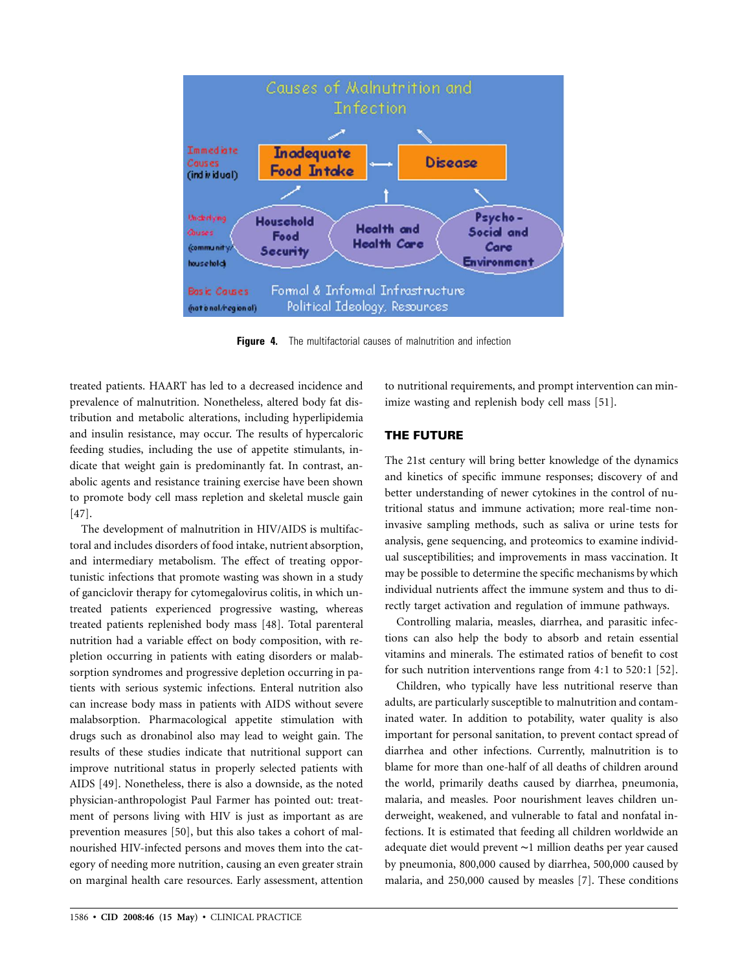

**Figure 4.** The multifactorial causes of malnutrition and infection

treated patients. HAART has led to a decreased incidence and prevalence of malnutrition. Nonetheless, altered body fat distribution and metabolic alterations, including hyperlipidemia and insulin resistance, may occur. The results of hypercaloric feeding studies, including the use of appetite stimulants, indicate that weight gain is predominantly fat. In contrast, anabolic agents and resistance training exercise have been shown to promote body cell mass repletion and skeletal muscle gain [47].

The development of malnutrition in HIV/AIDS is multifactoral and includes disorders of food intake, nutrient absorption, and intermediary metabolism. The effect of treating opportunistic infections that promote wasting was shown in a study of ganciclovir therapy for cytomegalovirus colitis, in which untreated patients experienced progressive wasting, whereas treated patients replenished body mass [48]. Total parenteral nutrition had a variable effect on body composition, with repletion occurring in patients with eating disorders or malabsorption syndromes and progressive depletion occurring in patients with serious systemic infections. Enteral nutrition also can increase body mass in patients with AIDS without severe malabsorption. Pharmacological appetite stimulation with drugs such as dronabinol also may lead to weight gain. The results of these studies indicate that nutritional support can improve nutritional status in properly selected patients with AIDS [49]. Nonetheless, there is also a downside, as the noted physician-anthropologist Paul Farmer has pointed out: treatment of persons living with HIV is just as important as are prevention measures [50], but this also takes a cohort of malnourished HIV-infected persons and moves them into the category of needing more nutrition, causing an even greater strain on marginal health care resources. Early assessment, attention to nutritional requirements, and prompt intervention can minimize wasting and replenish body cell mass [51].

## **THE FUTURE**

The 21st century will bring better knowledge of the dynamics and kinetics of specific immune responses; discovery of and better understanding of newer cytokines in the control of nutritional status and immune activation; more real-time noninvasive sampling methods, such as saliva or urine tests for analysis, gene sequencing, and proteomics to examine individual susceptibilities; and improvements in mass vaccination. It may be possible to determine the specific mechanisms by which individual nutrients affect the immune system and thus to directly target activation and regulation of immune pathways.

Controlling malaria, measles, diarrhea, and parasitic infections can also help the body to absorb and retain essential vitamins and minerals. The estimated ratios of benefit to cost for such nutrition interventions range from 4:1 to 520:1 [52].

Children, who typically have less nutritional reserve than adults, are particularly susceptible to malnutrition and contaminated water. In addition to potability, water quality is also important for personal sanitation, to prevent contact spread of diarrhea and other infections. Currently, malnutrition is to blame for more than one-half of all deaths of children around the world, primarily deaths caused by diarrhea, pneumonia, malaria, and measles. Poor nourishment leaves children underweight, weakened, and vulnerable to fatal and nonfatal infections. It is estimated that feeding all children worldwide an adequate diet would prevent ∼1 million deaths per year caused by pneumonia, 800,000 caused by diarrhea, 500,000 caused by malaria, and 250,000 caused by measles [7]. These conditions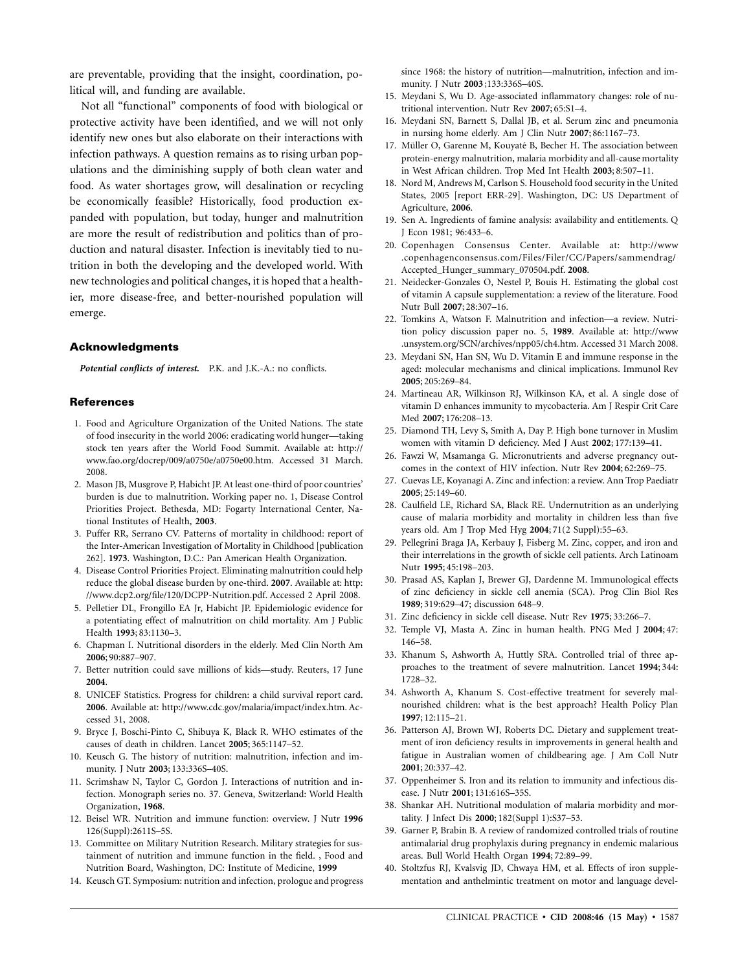are preventable, providing that the insight, coordination, political will, and funding are available.

Not all "functional" components of food with biological or protective activity have been identified, and we will not only identify new ones but also elaborate on their interactions with infection pathways. A question remains as to rising urban populations and the diminishing supply of both clean water and food. As water shortages grow, will desalination or recycling be economically feasible? Historically, food production expanded with population, but today, hunger and malnutrition are more the result of redistribution and politics than of production and natural disaster. Infection is inevitably tied to nutrition in both the developing and the developed world. With new technologies and political changes, it is hoped that a healthier, more disease-free, and better-nourished population will emerge.

#### **Acknowledgments**

*Potential conflicts of interest.* P.K. and J.K.-A.: no conflicts.

#### **References**

- 1. Food and Agriculture Organization of the United Nations. The state of food insecurity in the world 2006: eradicating world hunger—taking stock ten years after the World Food Summit. Available at: http:// www.fao.org/docrep/009/a0750e/a0750e00.htm. Accessed 31 March. 2008.
- 2. Mason JB, Musgrove P, Habicht JP. At least one-third of poor countries' burden is due to malnutrition. Working paper no. 1, Disease Control Priorities Project. Bethesda, MD: Fogarty International Center, National Institutes of Health, **2003**.
- 3. Puffer RR, Serrano CV. Patterns of mortality in childhood: report of the Inter-American Investigation of Mortality in Childhood [publication 262]. **1973**. Washington, D.C.: Pan American Health Organization.
- 4. Disease Control Priorities Project. Eliminating malnutrition could help reduce the global disease burden by one-third. **2007**. Available at: http: //www.dcp2.org/file/120/DCPP-Nutrition.pdf. Accessed 2 April 2008.
- 5. Pelletier DL, Frongillo EA Jr, Habicht JP. Epidemiologic evidence for a potentiating effect of malnutrition on child mortality. Am J Public Health **1993**; 83:1130–3.
- 6. Chapman I. Nutritional disorders in the elderly. Med Clin North Am **2006**; 90:887–907.
- 7. Better nutrition could save millions of kids—study. Reuters, 17 June **2004**.
- 8. UNICEF Statistics. Progress for children: a child survival report card. **2006**. Available at: http://www.cdc.gov/malaria/impact/index.htm. Accessed 31, 2008.
- 9. Bryce J, Boschi-Pinto C, Shibuya K, Black R. WHO estimates of the causes of death in children. Lancet **2005**; 365:1147–52.
- 10. Keusch G. The history of nutrition: malnutrition, infection and immunity. J Nutr **2003**; 133:336S–40S.
- 11. Scrimshaw N, Taylor C, Gordon J. Interactions of nutrition and infection. Monograph series no. 37. Geneva, Switzerland: World Health Organization, **1968**.
- 12. Beisel WR. Nutrition and immune function: overview. J Nutr **1996** 126(Suppl):2611S–5S.
- 13. Committee on Military Nutrition Research. Military strategies for sustainment of nutrition and immune function in the field. , Food and Nutrition Board, Washington, DC: Institute of Medicine, **1999**
- 14. Keusch GT. Symposium: nutrition and infection, prologue and progress

since 1968: the history of nutrition—malnutrition, infection and immunity. J Nutr **2003** ;133:336S–40S.

- 15. Meydani S, Wu D. Age-associated inflammatory changes: role of nutritional intervention. Nutr Rev **2007**; 65:S1–4.
- 16. Meydani SN, Barnett S, Dallal JB, et al. Serum zinc and pneumonia in nursing home elderly. Am J Clin Nutr **2007**; 86:1167–73.
- 17. Müller O, Garenne M, Kouyaté B, Becher H. The association between protein-energy malnutrition, malaria morbidity and all-cause mortality in West African children. Trop Med Int Health **2003**; 8:507–11.
- 18. Nord M, Andrews M, Carlson S. Household food security in the United States, 2005 [report ERR-29]. Washington, DC: US Department of Agriculture, **2006**.
- 19. Sen A. Ingredients of famine analysis: availability and entitlements. Q J Econ 1981; 96:433–6.
- 20. Copenhagen Consensus Center. Available at: http://www .copenhagenconsensus.com/Files/Filer/CC/Papers/sammendrag/ Accepted\_Hunger\_summary\_070504.pdf. **2008**.
- 21. Neidecker-Gonzales O, Nestel P, Bouis H. Estimating the global cost of vitamin A capsule supplementation: a review of the literature. Food Nutr Bull **2007**; 28:307–16.
- 22. Tomkins A, Watson F. Malnutrition and infection—a review. Nutrition policy discussion paper no. 5, **1989**. Available at: http://www .unsystem.org/SCN/archives/npp05/ch4.htm. Accessed 31 March 2008.
- 23. Meydani SN, Han SN, Wu D. Vitamin E and immune response in the aged: molecular mechanisms and clinical implications. Immunol Rev **2005**; 205:269–84.
- 24. Martineau AR, Wilkinson RJ, Wilkinson KA, et al. A single dose of vitamin D enhances immunity to mycobacteria. Am J Respir Crit Care Med **2007**; 176:208–13.
- 25. Diamond TH, Levy S, Smith A, Day P. High bone turnover in Muslim women with vitamin D deficiency. Med J Aust **2002**; 177:139–41.
- 26. Fawzi W, Msamanga G. Micronutrients and adverse pregnancy outcomes in the context of HIV infection. Nutr Rev **2004**; 62:269–75.
- 27. Cuevas LE, Koyanagi A. Zinc and infection: a review. Ann Trop Paediatr **2005**; 25:149–60.
- 28. Caulfield LE, Richard SA, Black RE. Undernutrition as an underlying cause of malaria morbidity and mortality in children less than five years old. Am J Trop Med Hyg **2004**; 71(2 Suppl):55–63.
- 29. Pellegrini Braga JA, Kerbauy J, Fisberg M. Zinc, copper, and iron and their interrelations in the growth of sickle cell patients. Arch Latinoam Nutr **1995**; 45:198–203.
- 30. Prasad AS, Kaplan J, Brewer GJ, Dardenne M. Immunological effects of zinc deficiency in sickle cell anemia (SCA). Prog Clin Biol Res **1989**; 319:629–47; discussion 648–9.
- 31. Zinc deficiency in sickle cell disease. Nutr Rev **1975**; 33:266–7.
- 32. Temple VJ, Masta A. Zinc in human health. PNG Med J **2004**; 47: 146–58.
- 33. Khanum S, Ashworth A, Huttly SRA. Controlled trial of three approaches to the treatment of severe malnutrition. Lancet **1994**; 344: 1728–32.
- 34. Ashworth A, Khanum S. Cost-effective treatment for severely malnourished children: what is the best approach? Health Policy Plan **1997**; 12:115–21.
- 36. Patterson AJ, Brown WJ, Roberts DC. Dietary and supplement treatment of iron deficiency results in improvements in general health and fatigue in Australian women of childbearing age. J Am Coll Nutr **2001**; 20:337–42.
- 37. Oppenheimer S. Iron and its relation to immunity and infectious disease. J Nutr **2001**; 131:616S–35S.
- 38. Shankar AH. Nutritional modulation of malaria morbidity and mortality. J Infect Dis **2000**; 182(Suppl 1):S37–53.
- 39. Garner P, Brabin B. A review of randomized controlled trials of routine antimalarial drug prophylaxis during pregnancy in endemic malarious areas. Bull World Health Organ **1994**; 72:89–99.
- 40. Stoltzfus RJ, Kvalsvig JD, Chwaya HM, et al. Effects of iron supplementation and anthelmintic treatment on motor and language devel-